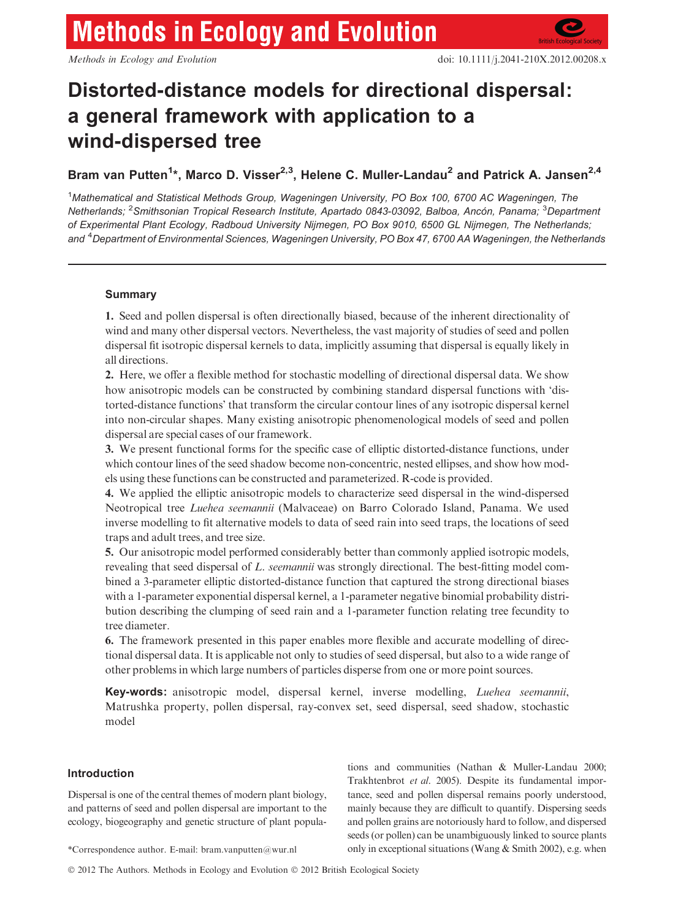# **Methods in Ecology and Evolution**

# Distorted-distance models for directional dispersal: a general framework with application to a wind-dispersed tree

Bram van Putten<sup>1</sup>\*, Marco D. Visser<sup>2,3</sup>, Helene C. Muller-Landau<sup>2</sup> and Patrick A. Jansen<sup>2,4</sup>

<sup>1</sup>Mathematical and Statistical Methods Group, Wageningen University, PO Box 100, 6700 AC Wageningen, The Netherlands; <sup>2</sup>Smithsonian Tropical Research Institute, Apartado 0843-03092, Balboa, Ancón, Panama; <sup>3</sup>Department of Experimental Plant Ecology, Radboud University Nijmegen, PO Box 9010, 6500 GL Nijmegen, The Netherlands; and <sup>4</sup>Department of Environmental Sciences, Wageningen University, PO Box 47, 6700 AA Wageningen, the Netherlands

# Summary

1. Seed and pollen dispersal is often directionally biased, because of the inherent directionality of wind and many other dispersal vectors. Nevertheless, the vast majority of studies of seed and pollen dispersal fit isotropic dispersal kernels to data, implicitly assuming that dispersal is equally likely in all directions.

2. Here, we offer a flexible method for stochastic modelling of directional dispersal data. We show how anisotropic models can be constructed by combining standard dispersal functions with 'distorted-distance functions' that transform the circular contour lines of any isotropic dispersal kernel into non-circular shapes. Many existing anisotropic phenomenological models of seed and pollen dispersal are special cases of our framework.

3. We present functional forms for the specific case of elliptic distorted-distance functions, under which contour lines of the seed shadow become non-concentric, nested ellipses, and show how models using these functions can be constructed and parameterized. R-code is provided.

4. We applied the elliptic anisotropic models to characterize seed dispersal in the wind-dispersed Neotropical tree Luehea seemannii (Malvaceae) on Barro Colorado Island, Panama. We used inverse modelling to fit alternative models to data of seed rain into seed traps, the locations of seed traps and adult trees, and tree size.

5. Our anisotropic model performed considerably better than commonly applied isotropic models, revealing that seed dispersal of L. seemannii was strongly directional. The best-fitting model combined a 3-parameter elliptic distorted-distance function that captured the strong directional biases with a 1-parameter exponential dispersal kernel, a 1-parameter negative binomial probability distribution describing the clumping of seed rain and a 1-parameter function relating tree fecundity to tree diameter.

6. The framework presented in this paper enables more flexible and accurate modelling of directional dispersal data. It is applicable not only to studies of seed dispersal, but also to a wide range of other problems in which large numbers of particles disperse from one or more point sources.

Key-words: anisotropic model, dispersal kernel, inverse modelling, Luehea seemannii, Matrushka property, pollen dispersal, ray-convex set, seed dispersal, seed shadow, stochastic model

# Introduction

Dispersal is one of the central themes of modern plant biology, and patterns of seed and pollen dispersal are important to the ecology, biogeography and genetic structure of plant popula-

tions and communities (Nathan & Muller-Landau 2000; Trakhtenbrot et al. 2005). Despite its fundamental importance, seed and pollen dispersal remains poorly understood, mainly because they are difficult to quantify. Dispersing seeds and pollen grains are notoriously hard to follow, and dispersed seeds (or pollen) can be unambiguously linked to source plants \*Correspondence author. E-mail: bram.vanputten@wur.nl only in exceptional situations (Wang & Smith 2002), e.g. when

© 2012 The Authors. Methods in Ecology and Evolution © 2012 British Ecological Society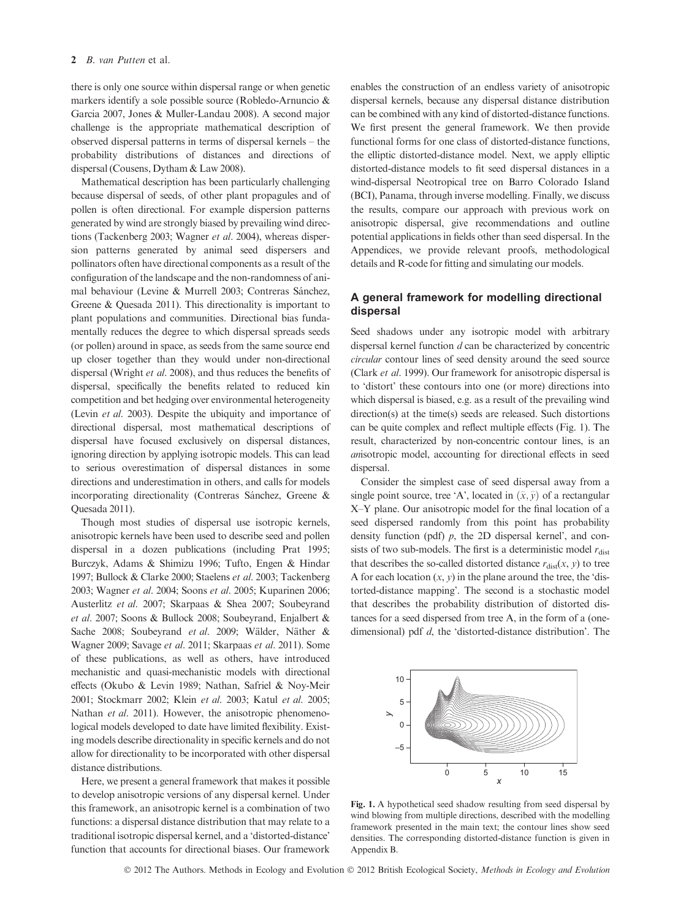there is only one source within dispersal range or when genetic markers identify a sole possible source (Robledo-Arnuncio & Garcia 2007, Jones & Muller-Landau 2008). A second major challenge is the appropriate mathematical description of observed dispersal patterns in terms of dispersal kernels – the probability distributions of distances and directions of dispersal (Cousens, Dytham & Law 2008).

Mathematical description has been particularly challenging because dispersal of seeds, of other plant propagules and of pollen is often directional. For example dispersion patterns generated by wind are strongly biased by prevailing wind directions (Tackenberg 2003; Wagner et al. 2004), whereas dispersion patterns generated by animal seed dispersers and pollinators often have directional components as a result of the configuration of the landscape and the non-randomness of animal behaviour (Levine & Murrell 2003; Contreras Sánchez, Greene & Quesada 2011). This directionality is important to plant populations and communities. Directional bias fundamentally reduces the degree to which dispersal spreads seeds (or pollen) around in space, as seeds from the same source end up closer together than they would under non-directional dispersal (Wright et al. 2008), and thus reduces the benefits of dispersal, specifically the benefits related to reduced kin competition and bet hedging over environmental heterogeneity (Levin et al. 2003). Despite the ubiquity and importance of directional dispersal, most mathematical descriptions of dispersal have focused exclusively on dispersal distances, ignoring direction by applying isotropic models. This can lead to serious overestimation of dispersal distances in some directions and underestimation in others, and calls for models incorporating directionality (Contreras Sánchez, Greene & Quesada 2011).

Though most studies of dispersal use isotropic kernels, anisotropic kernels have been used to describe seed and pollen dispersal in a dozen publications (including Prat 1995; Burczyk, Adams & Shimizu 1996; Tufto, Engen & Hindar 1997; Bullock & Clarke 2000; Staelens et al. 2003; Tackenberg 2003; Wagner et al. 2004; Soons et al. 2005; Kuparinen 2006; Austerlitz et al. 2007; Skarpaas & Shea 2007; Soubeyrand et al. 2007; Soons & Bullock 2008; Soubeyrand, Enjalbert & Sache 2008; Soubeyrand et al. 2009; Wälder, Näther & Wagner 2009; Savage et al. 2011; Skarpaas et al. 2011). Some of these publications, as well as others, have introduced mechanistic and quasi-mechanistic models with directional effects (Okubo & Levin 1989; Nathan, Safriel & Noy-Meir 2001; Stockmarr 2002; Klein et al. 2003; Katul et al. 2005; Nathan *et al.* 2011). However, the anisotropic phenomenological models developed to date have limited flexibility. Existing models describe directionality in specific kernels and do not allow for directionality to be incorporated with other dispersal distance distributions.

Here, we present a general framework that makes it possible to develop anisotropic versions of any dispersal kernel. Under this framework, an anisotropic kernel is a combination of two functions: a dispersal distance distribution that may relate to a traditional isotropic dispersal kernel, and a 'distorted-distance' function that accounts for directional biases. Our framework

enables the construction of an endless variety of anisotropic dispersal kernels, because any dispersal distance distribution can be combined with any kind of distorted-distance functions. We first present the general framework. We then provide functional forms for one class of distorted-distance functions, the elliptic distorted-distance model. Next, we apply elliptic distorted-distance models to fit seed dispersal distances in a wind-dispersal Neotropical tree on Barro Colorado Island (BCI), Panama, through inverse modelling. Finally, we discuss the results, compare our approach with previous work on anisotropic dispersal, give recommendations and outline potential applications in fields other than seed dispersal. In the Appendices, we provide relevant proofs, methodological details and R-code for fitting and simulating our models.

# A general framework for modelling directional dispersal

Seed shadows under any isotropic model with arbitrary dispersal kernel function d can be characterized by concentric circular contour lines of seed density around the seed source (Clark et al. 1999). Our framework for anisotropic dispersal is to 'distort' these contours into one (or more) directions into which dispersal is biased, e.g. as a result of the prevailing wind direction(s) at the time(s) seeds are released. Such distortions can be quite complex and reflect multiple effects (Fig. 1). The result, characterized by non-concentric contour lines, is an anisotropic model, accounting for directional effects in seed dispersal.

Consider the simplest case of seed dispersal away from a single point source, tree 'A', located in  $(\hat{x}, \hat{y})$  of a rectangular X–Y plane. Our anisotropic model for the final location of a seed dispersed randomly from this point has probability density function (pdf)  $p$ , the 2D dispersal kernel', and consists of two sub-models. The first is a deterministic model  $r_{\text{dist}}$ that describes the so-called distorted distance  $r_{dist}(x, y)$  to tree A for each location  $(x, y)$  in the plane around the tree, the 'distorted-distance mapping'. The second is a stochastic model that describes the probability distribution of distorted distances for a seed dispersed from tree A, in the form of a (onedimensional) pdf d, the 'distorted-distance distribution'. The



Fig. 1. A hypothetical seed shadow resulting from seed dispersal by wind blowing from multiple directions, described with the modelling framework presented in the main text; the contour lines show seed densities. The corresponding distorted-distance function is given in Appendix B.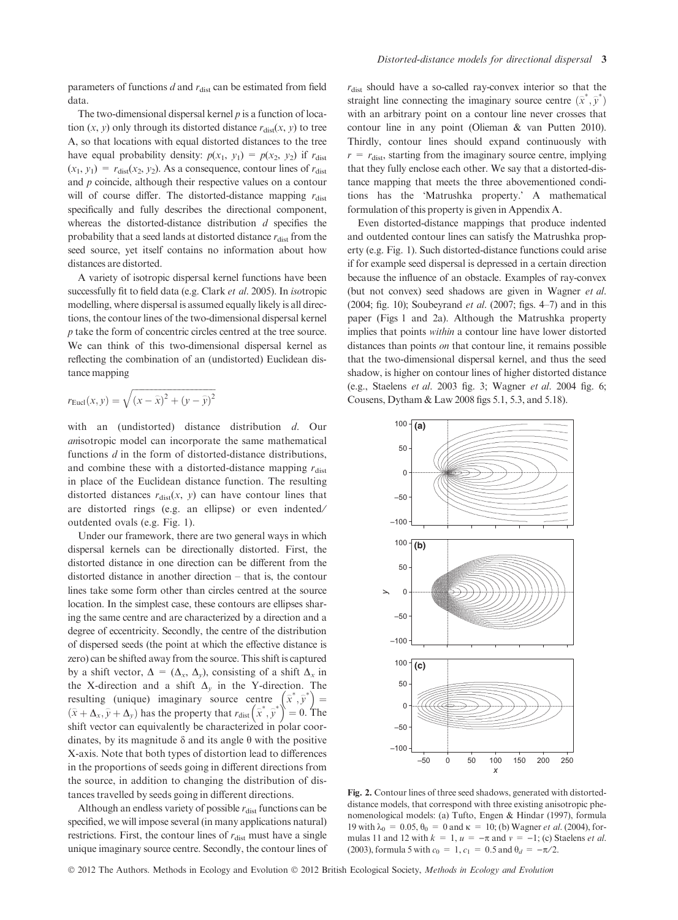parameters of functions  $d$  and  $r_{\text{dist}}$  can be estimated from field data.

The two-dimensional dispersal kernel  $p$  is a function of location  $(x, y)$  only through its distorted distance  $r_{dist}(x, y)$  to tree A, so that locations with equal distorted distances to the tree have equal probability density:  $p(x_1, y_1) = p(x_2, y_2)$  if  $r_{dist}$  $(x_1, y_1) = r_{dist}(x_2, y_2)$ . As a consequence, contour lines of  $r_{dist}$ and p coincide, although their respective values on a contour will of course differ. The distorted-distance mapping  $r_{\text{dist}}$ specifically and fully describes the directional component, whereas the distorted-distance distribution  $d$  specifies the probability that a seed lands at distorted distance  $r_{\text{dist}}$  from the seed source, yet itself contains no information about how distances are distorted.

A variety of isotropic dispersal kernel functions have been successfully fit to field data (e.g. Clark et al. 2005). In isotropic modelling, where dispersal is assumed equally likely is all directions, the contour lines of the two-dimensional dispersal kernel p take the form of concentric circles centred at the tree source. We can think of this two-dimensional dispersal kernel as reflecting the combination of an (undistorted) Euclidean distance mapping

$$
r_{\text{Eucl}}(x, y) = \sqrt{(x - \hat{x})^2 + (y - \hat{y})^2}
$$

with an (undistorted) distance distribution d. Our anisotropic model can incorporate the same mathematical functions *d* in the form of distorted-distance distributions, and combine these with a distorted-distance mapping  $r_{\text{dist}}$ in place of the Euclidean distance function. The resulting distorted distances  $r_{dist}(x, y)$  can have contour lines that are distorted rings (e.g. an ellipse) or even indented/ outdented ovals (e.g. Fig. 1).

Under our framework, there are two general ways in which dispersal kernels can be directionally distorted. First, the distorted distance in one direction can be different from the distorted distance in another direction – that is, the contour lines take some form other than circles centred at the source location. In the simplest case, these contours are ellipses sharing the same centre and are characterized by a direction and a degree of eccentricity. Secondly, the centre of the distribution of dispersed seeds (the point at which the effective distance is zero) can be shifted away from the source. This shift is captured by a shift vector,  $\Delta = (\Delta_x, \Delta_y)$ , consisting of a shift  $\Delta_x$  in the X-direction and a shift  $\Delta_{\nu}$  in the Y-direction. The resulting (unique) imaginary source centre  $(\hat{x}^*, \hat{y}^*)$  = resulting (unique) imaginary source centre  $\langle x, y \rangle = (\hat{x} + \Delta_x, \hat{y} + \Delta_y)$  has the property that  $r_{dist}(\hat{x}, \hat{y}) = 0$ . The shift vector can equivalently be characterized in polar coordinates, by its magnitude  $\delta$  and its angle  $\theta$  with the positive X-axis. Note that both types of distortion lead to differences in the proportions of seeds going in different directions from the source, in addition to changing the distribution of distances travelled by seeds going in different directions.

Although an endless variety of possible  $r_{\text{dist}}$  functions can be specified, we will impose several (in many applications natural) restrictions. First, the contour lines of  $r_{\text{dist}}$  must have a single unique imaginary source centre. Secondly, the contour lines of

 $r_{\text{dist}}$  should have a so-called ray-convex interior so that the straight line connecting the imaginary source centre  $(\hat{x}^*, \hat{y}^*)$ with an arbitrary point on a contour line never crosses that contour line in any point (Olieman & van Putten 2010). Thirdly, contour lines should expand continuously with  $r = r_{\text{dist}}$ , starting from the imaginary source centre, implying that they fully enclose each other. We say that a distorted-distance mapping that meets the three abovementioned conditions has the 'Matrushka property.' A mathematical formulation of this property is given in Appendix A.

Even distorted-distance mappings that produce indented and outdented contour lines can satisfy the Matrushka property (e.g. Fig. 1). Such distorted-distance functions could arise if for example seed dispersal is depressed in a certain direction because the influence of an obstacle. Examples of ray-convex (but not convex) seed shadows are given in Wagner et al. (2004; fig. 10); Soubeyrand *et al.* (2007; figs. 4–7) and in this paper (Figs 1 and 2a). Although the Matrushka property implies that points within a contour line have lower distorted distances than points *on* that contour line, it remains possible that the two-dimensional dispersal kernel, and thus the seed shadow, is higher on contour lines of higher distorted distance (e.g., Staelens et al. 2003 fig. 3; Wagner et al. 2004 fig. 6; Cousens, Dytham & Law 2008 figs 5.1, 5.3, and 5.18).



Fig. 2. Contour lines of three seed shadows, generated with distorteddistance models, that correspond with three existing anisotropic phenomenological models: (a) Tufto, Engen & Hindar (1997), formula 19 with  $\lambda_0 = 0.05$ ,  $\theta_0 = 0$  and  $\kappa = 10$ ; (b) Wagner *et al.* (2004), formulas 11 and 12 with  $k = 1$ ,  $u = -\pi$  and  $v = -1$ ; (c) Staelens *et al.* (2003), formula 5 with  $c_0 = 1$ ,  $c_1 = 0.5$  and  $\theta_d = -\pi/2$ .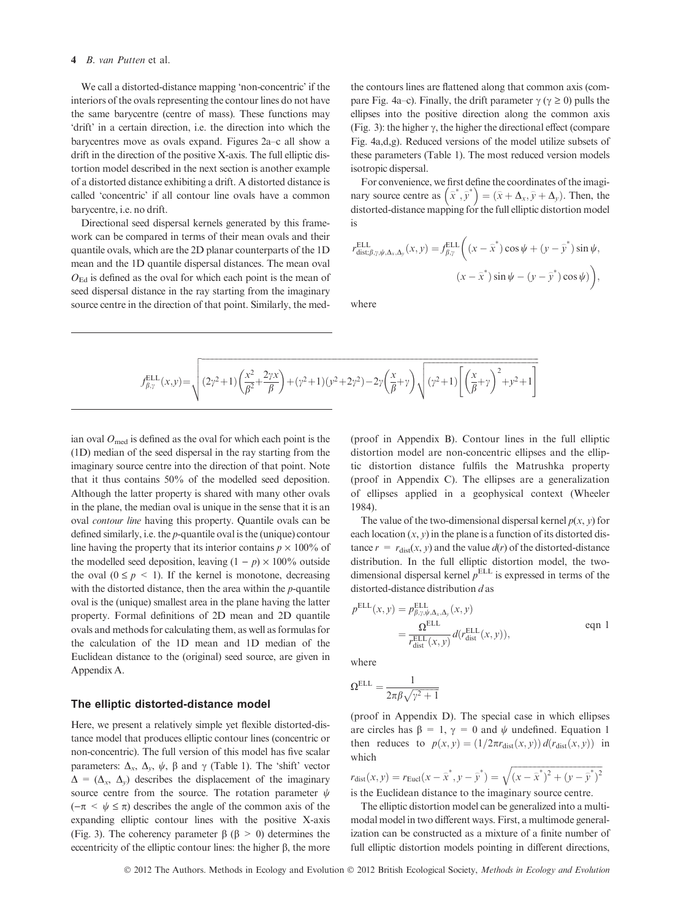#### 4 B. van Putten et al.

We call a distorted-distance mapping 'non-concentric' if the interiors of the ovals representing the contour lines do not have the same barycentre (centre of mass). These functions may 'drift' in a certain direction, i.e. the direction into which the barycentres move as ovals expand. Figures 2a–c all show a drift in the direction of the positive X-axis. The full elliptic distortion model described in the next section is another example of a distorted distance exhibiting a drift. A distorted distance is called 'concentric' if all contour line ovals have a common barycentre, i.e. no drift.

Directional seed dispersal kernels generated by this framework can be compared in terms of their mean ovals and their quantile ovals, which are the 2D planar counterparts of the 1D mean and the 1D quantile dispersal distances. The mean oval  $O_{\text{Ed}}$  is defined as the oval for which each point is the mean of seed dispersal distance in the ray starting from the imaginary source centre in the direction of that point. Similarly, the medthe contours lines are flattened along that common axis (compare Fig. 4a–c). Finally, the drift parameter  $\gamma$  ( $\gamma \ge 0$ ) pulls the ellipses into the positive direction along the common axis (Fig. 3): the higher  $\gamma$ , the higher the directional effect (compare Fig. 4a,d,g). Reduced versions of the model utilize subsets of these parameters (Table 1). The most reduced version models isotropic dispersal.

For convenience, we first define the coordinates of the imagi-For convenience, we hist define the coordinates of the magn-<br>hary source centre as  $(\hat{x}^*, \hat{y}^*) = (\hat{x} + \Delta_x, \hat{y} + \Delta_y)$ . Then, the distorted-distance mapping for the full elliptic distortion model is

$$
r_{\text{dist};\beta,\gamma,\psi,\Delta_x,\Delta_y}^{\text{ELL}}(x,y) = f_{\beta,\gamma}^{\text{ELL}} \left( (x - \hat{x}^*) \cos \psi + (y - \hat{y}^*) \sin \psi, (x - \hat{x}^*) \sin \psi - (y - \hat{y}^*) \cos \psi \right),
$$

where

$$
f_{\beta,\gamma}^{\mathrm{ELL}}(x,y) = \sqrt{(2\gamma^2+1)\left(\frac{x^2}{\beta^2}+\frac{2\gamma x}{\beta}\right)+(\gamma^2+1)(y^2+2\gamma^2)-2\gamma\left(\frac{x}{\beta}+\gamma\right)\sqrt{(\gamma^2+1)\left[\left(\frac{x}{\beta}+\gamma\right)^2+y^2+1\right]}}
$$

ian oval  $O_{\text{med}}$  is defined as the oval for which each point is the (1D) median of the seed dispersal in the ray starting from the imaginary source centre into the direction of that point. Note that it thus contains 50% of the modelled seed deposition. Although the latter property is shared with many other ovals in the plane, the median oval is unique in the sense that it is an oval contour line having this property. Quantile ovals can be defined similarly, i.e. the p-quantile oval is the (unique) contour line having the property that its interior contains  $p \times 100\%$  of the modelled seed deposition, leaving  $(1 - p) \times 100\%$  outside the oval  $(0 \le p \le 1)$ . If the kernel is monotone, decreasing with the distorted distance, then the area within the *p*-quantile oval is the (unique) smallest area in the plane having the latter property. Formal definitions of 2D mean and 2D quantile ovals and methods for calculating them, as well as formulas for the calculation of the 1D mean and 1D median of the Euclidean distance to the (original) seed source, are given in Appendix A.

#### The elliptic distorted-distance model

Here, we present a relatively simple yet flexible distorted-distance model that produces elliptic contour lines (concentric or non-concentric). The full version of this model has five scalar parameters:  $\Delta_x$ ,  $\Delta_y$ ,  $\psi$ ,  $\beta$  and  $\gamma$  (Table 1). The 'shift' vector  $\Delta = (\Delta_x, \Delta_y)$  describes the displacement of the imaginary source centre from the source. The rotation parameter  $\psi$  $(-\pi < \psi \leq \pi)$  describes the angle of the common axis of the expanding elliptic contour lines with the positive X-axis (Fig. 3). The coherency parameter  $\beta$  ( $\beta > 0$ ) determines the eccentricity of the elliptic contour lines: the higher  $\beta$ , the more

(proof in Appendix B). Contour lines in the full elliptic distortion model are non-concentric ellipses and the elliptic distortion distance fulfils the Matrushka property (proof in Appendix C). The ellipses are a generalization of ellipses applied in a geophysical context (Wheeler 1984).

The value of the two-dimensional dispersal kernel  $p(x, y)$  for each location  $(x, y)$  in the plane is a function of its distorted distance  $r = r_{dist}(x, y)$  and the value  $d(r)$  of the distorted-distance distribution. In the full elliptic distortion model, the twodimensional dispersal kernel  $p^{\text{ELL}}$  is expressed in terms of the distorted-distance distribution d as

$$
p^{\text{ELL}}(x, y) = p^{\text{ELL}}_{\beta, \gamma, \psi, \Delta_x, \Delta_y}(x, y)
$$
  
= 
$$
\frac{\Omega^{\text{ELL}}}{r^{\text{ELL}}_{\text{dist}}(x, y)} d(r^{\text{ELL}}_{\text{dist}}(x, y)),
$$
 eqn 1

where

$$
\Omega^{\rm ELL} = \frac{1}{2\pi\beta\sqrt{\gamma^2+1}}
$$

(proof in Appendix D). The special case in which ellipses are circles has  $\beta = 1$ ,  $\gamma = 0$  and  $\psi$  undefined. Equation 1 then reduces to  $p(x, y) = (1/2\pi r_{dist}(x, y)) d(r_{dist}(x, y))$  in which  $f(x)$  if  $f(x)$  if  $f(x)$  $\mathcal{L}$ 

$$
r_{dist}(x, y) = r_{Eucl}(x - \hat{x}^*, y - \hat{y}^*) = \sqrt{(x - \hat{x}^*)^2 + (y - \hat{y}^*)^2}
$$
  
is the Euclidean distance to the imaginary source centre.

The elliptic distortion model can be generalized into a multimodal model in two different ways. First, a multimode generalization can be constructed as a mixture of a finite number of full elliptic distortion models pointing in different directions,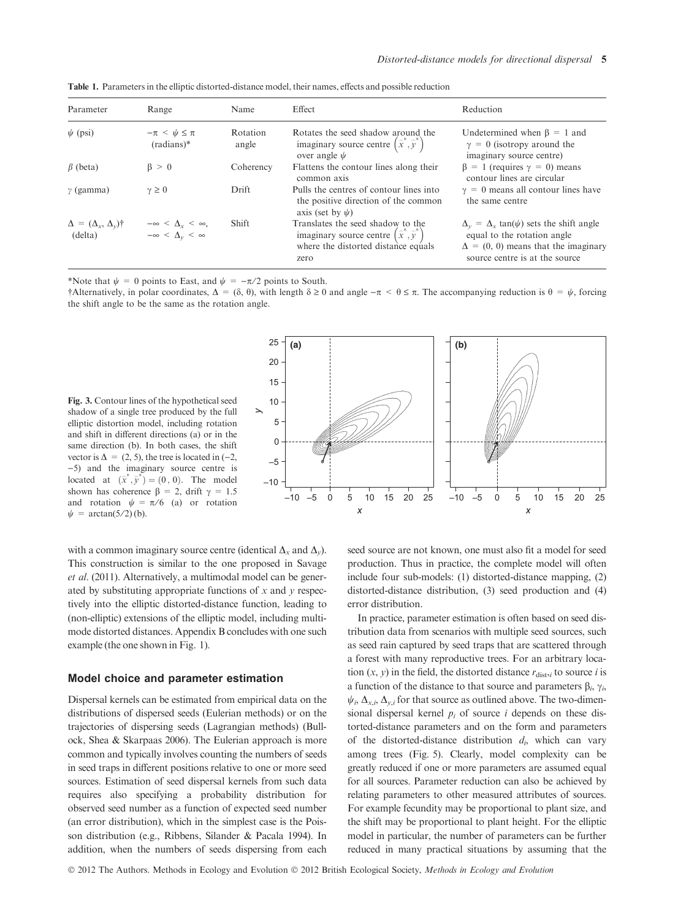| Parameter                                    | Range                                                                  | Name              | Effect                                                                                                                               | Reduction                                                                                                                                                            |
|----------------------------------------------|------------------------------------------------------------------------|-------------------|--------------------------------------------------------------------------------------------------------------------------------------|----------------------------------------------------------------------------------------------------------------------------------------------------------------------|
| $\psi$ (psi)                                 | $-\pi < \psi \leq \pi$<br>$(radians)*$                                 | Rotation<br>angle | Rotates the seed shadow around the<br>imaginary source centre $(\hat{x}^*, \hat{y}^*)$<br>over angle $\psi$                          | Undetermined when $\beta = 1$ and<br>$\gamma = 0$ (isotropy around the<br>imaginary source centre)                                                                   |
| $\beta$ (beta)                               | $\beta > 0$                                                            | Coherency         | Flattens the contour lines along their<br>common axis                                                                                | $\beta = 1$ (requires $\gamma = 0$ ) means<br>contour lines are circular                                                                                             |
| $\gamma$ (gamma)                             | $\gamma \geq 0$                                                        | Drift             | Pulls the centres of contour lines into<br>the positive direction of the common<br>axis (set by $\psi$ )                             | $\gamma = 0$ means all contour lines have<br>the same centre                                                                                                         |
| $\Delta = (\Delta_x, \Delta_y)$ †<br>(delta) | $-\infty < \Delta_{\rm r} < \infty$ ,<br>$-\infty < \Delta_v < \infty$ | <b>Shift</b>      | Translates the seed shadow to the<br>imaginary source centre $(\hat{x}^*, \hat{y}^*)$<br>where the distorted distance equals<br>zero | $\Delta_y = \Delta_x \tan(\psi)$ sets the shift angle<br>equal to the rotation angle<br>$\Delta = (0, 0)$ means that the imaginary<br>source centre is at the source |

Table 1. Parameters in the elliptic distorted-distance model, their names, effects and possible reduction

\*Note that  $\psi = 0$  points to East, and  $\psi = -\pi/2$  points to South.

†Alternatively, in polar coordinates,  $\Delta = (\delta, \theta)$ , with length  $\delta \ge 0$  and angle  $-\pi < \theta \le \pi$ . The accompanying reduction is  $\theta = \psi$ , forcing the shift angle to be the same as the rotation angle.

Fig. 3. Contour lines of the hypothetical seed shadow of a single tree produced by the full elliptic distortion model, including rotation and shift in different directions (a) or in the same direction (b). In both cases, the shift vector is  $\Delta = (2, 5)$ , the tree is located in (-2, )5) and the imaginary source centre is located at  $(\bar{x}^*, \bar{y}^*) = (0, 0)$ . The model shown has coherence  $\beta = 2$ , drift  $\gamma = 1.5$ and rotation  $\psi = \pi/6$  (a) or rotation  $\psi = \arctan(5/2)$  (b).

*x y* –10 –5 0 5 10 15 20  $25 - (a)$  (b) *x* –10 –5 0 5 10 15 20 25 –10 –5 0 5 10 15 20 25

with a common imaginary source centre (identical  $\Delta_x$  and  $\Delta_y$ ). This construction is similar to the one proposed in Savage et al. (2011). Alternatively, a multimodal model can be generated by substituting appropriate functions of  $x$  and  $y$  respectively into the elliptic distorted-distance function, leading to (non-elliptic) extensions of the elliptic model, including multimode distorted distances. Appendix B concludes with one such example (the one shown in Fig. 1).

#### Model choice and parameter estimation

Dispersal kernels can be estimated from empirical data on the distributions of dispersed seeds (Eulerian methods) or on the trajectories of dispersing seeds (Lagrangian methods) (Bullock, Shea & Skarpaas 2006). The Eulerian approach is more common and typically involves counting the numbers of seeds in seed traps in different positions relative to one or more seed sources. Estimation of seed dispersal kernels from such data requires also specifying a probability distribution for observed seed number as a function of expected seed number (an error distribution), which in the simplest case is the Poisson distribution (e.g., Ribbens, Silander & Pacala 1994). In addition, when the numbers of seeds dispersing from each

seed source are not known, one must also fit a model for seed production. Thus in practice, the complete model will often include four sub-models: (1) distorted-distance mapping, (2) distorted-distance distribution, (3) seed production and (4) error distribution.

In practice, parameter estimation is often based on seed distribution data from scenarios with multiple seed sources, such as seed rain captured by seed traps that are scattered through a forest with many reproductive trees. For an arbitrary location  $(x, y)$  in the field, the distorted distance  $r_{dist,i}$  to source i is a function of the distance to that source and parameters  $\beta_i$ ,  $\gamma_i$ ,  $\psi_i$ ,  $\Delta_{x,i}$ ,  $\Delta_{y,i}$  for that source as outlined above. The two-dimensional dispersal kernel  $p_i$  of source i depends on these distorted-distance parameters and on the form and parameters of the distorted-distance distribution  $d_i$ , which can vary among trees (Fig. 5). Clearly, model complexity can be greatly reduced if one or more parameters are assumed equal for all sources. Parameter reduction can also be achieved by relating parameters to other measured attributes of sources. For example fecundity may be proportional to plant size, and the shift may be proportional to plant height. For the elliptic model in particular, the number of parameters can be further reduced in many practical situations by assuming that the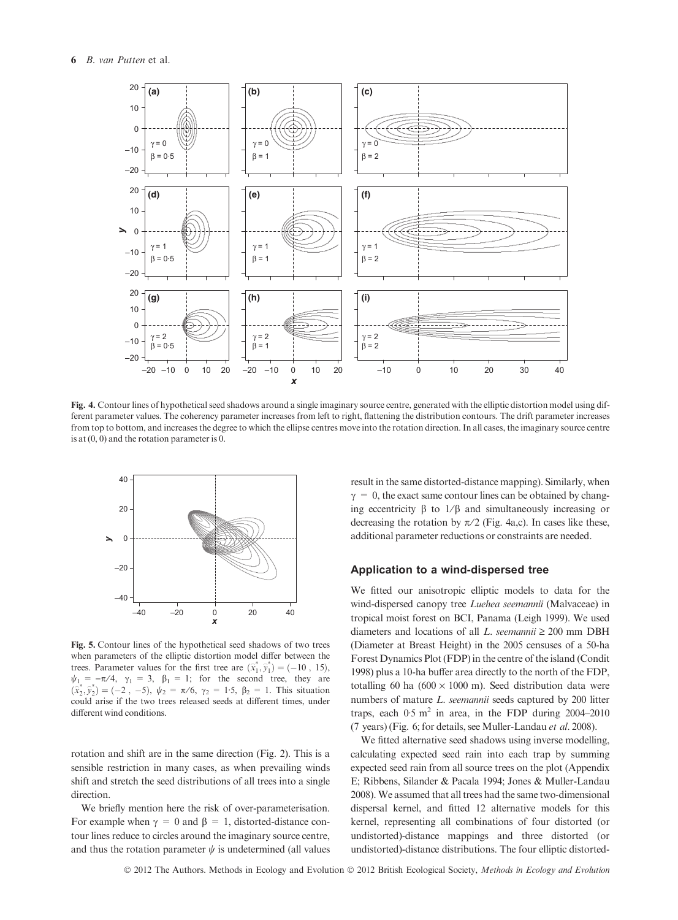

Fig. 4. Contour lines of hypothetical seed shadows around a single imaginary source centre, generated with the elliptic distortion model using different parameter values. The coherency parameter increases from left to right, flattening the distribution contours. The drift parameter increases from top to bottom, and increases the degree to which the ellipse centres move into the rotation direction. In all cases, the imaginary source centre is at (0, 0) and the rotation parameter is 0.



Fig. 5. Contour lines of the hypothetical seed shadows of two trees when parameters of the elliptic distortion model differ between the trees. Parameter values for the first tree are  $(\hat{x}_1^*, \hat{y}_1^*) = (-10, 15)$ ,  $\psi_1 = -\pi/4$ ,  $\gamma_1 = 3$ ,  $\beta_1 = 1$ ; for the second tree, they are  $(\vec{x}_2^*, \vec{y}_2^*) = (-2, -5), \psi_2 = \pi/6, \gamma_2 = 1.5, \beta_2 = 1.$  This situation could arise if the two trees released seeds at different times, under different wind conditions.

rotation and shift are in the same direction (Fig. 2). This is a sensible restriction in many cases, as when prevailing winds shift and stretch the seed distributions of all trees into a single direction.

We briefly mention here the risk of over-parameterisation. For example when  $\gamma = 0$  and  $\beta = 1$ , distorted-distance contour lines reduce to circles around the imaginary source centre, and thus the rotation parameter  $\psi$  is undetermined (all values

result in the same distorted-distance mapping). Similarly, when  $\gamma = 0$ , the exact same contour lines can be obtained by changing eccentricity  $\beta$  to  $1/\beta$  and simultaneously increasing or decreasing the rotation by  $\pi/2$  (Fig. 4a,c). In cases like these, additional parameter reductions or constraints are needed.

#### Application to a wind-dispersed tree

We fitted our anisotropic elliptic models to data for the wind-dispersed canopy tree Luehea seemannii (Malvaceae) in tropical moist forest on BCI, Panama (Leigh 1999). We used diameters and locations of all L. seemannii  $\geq 200$  mm DBH (Diameter at Breast Height) in the 2005 censuses of a 50-ha Forest Dynamics Plot (FDP) in the centre of the island (Condit 1998) plus a 10-ha buffer area directly to the north of the FDP, totalling 60 ha  $(600 \times 1000 \text{ m})$ . Seed distribution data were numbers of mature L. seemannii seeds captured by 200 litter traps, each  $0.5 \text{ m}^2$  in area, in the FDP during 2004–2010 (7 years) (Fig. 6; for details, see Muller-Landau et al. 2008).

We fitted alternative seed shadows using inverse modelling, calculating expected seed rain into each trap by summing expected seed rain from all source trees on the plot (Appendix E; Ribbens, Silander & Pacala 1994; Jones & Muller-Landau 2008). We assumed that all trees had the same two-dimensional dispersal kernel, and fitted 12 alternative models for this kernel, representing all combinations of four distorted (or undistorted)-distance mappings and three distorted (or undistorted)-distance distributions. The four elliptic distorted-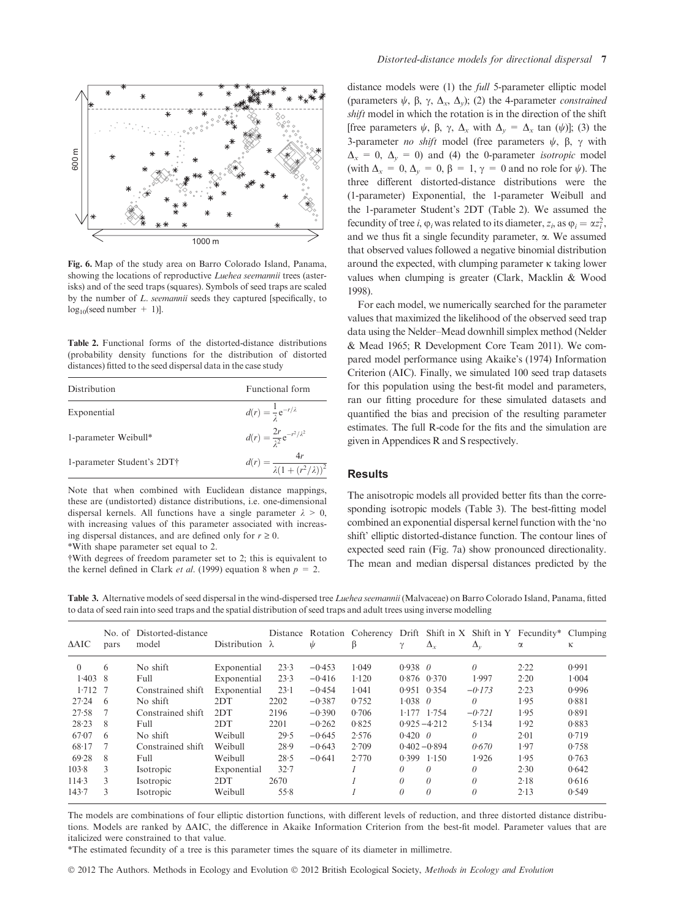

Fig. 6. Map of the study area on Barro Colorado Island, Panama, showing the locations of reproductive *Luehea seemannii* trees (asterisks) and of the seed traps (squares). Symbols of seed traps are scaled by the number of L. seemannii seeds they captured [specifically, to  $log_{10}$ (seed number + 1)].

Table 2. Functional forms of the distorted-distance distributions (probability density functions for the distribution of distorted distances) fitted to the seed dispersal data in the case study

| Distribution               | Functional form                                  |
|----------------------------|--------------------------------------------------|
| Exponential                | $d(r) = \frac{1}{2} e^{-r/\lambda}$              |
| 1-parameter Weibull*       | $d(r) = \frac{2r}{r^2} e^{-r^2/\lambda^2}$       |
| 1-parameter Student's 2DT† | $d(r) = \frac{4r}{\lambda(1 + (r^2/\lambda))^2}$ |

Note that when combined with Euclidean distance mappings, these are (undistorted) distance distributions, i.e. one-dimensional dispersal kernels. All functions have a single parameter  $\lambda > 0$ , with increasing values of this parameter associated with increasing dispersal distances, and are defined only for  $r \geq 0$ . \*With shape parameter set equal to 2.

†With degrees of freedom parameter set to 2; this is equivalent to the kernel defined in Clark *et al.* (1999) equation 8 when  $p = 2$ .

distance models were (1) the *full* 5-parameter elliptic model (parameters  $\psi$ ,  $\beta$ ,  $\gamma$ ,  $\Delta$ <sub>x</sub>,  $\Delta$ <sub>x</sub>); (2) the 4-parameter *constrained* shift model in which the rotation is in the direction of the shift [free parameters  $\psi$ ,  $\beta$ ,  $\gamma$ ,  $\Delta_x$  with  $\Delta_y = \Delta_x$  tan  $(\psi)$ ]; (3) the 3-parameter *no shift* model (free parameters  $\psi$ ,  $\beta$ ,  $\gamma$  with  $\Delta_x = 0$ ,  $\Delta_y = 0$ ) and (4) the 0-parameter *isotropic* model (with  $\Delta_x = 0$ ,  $\Delta_y = 0$ ,  $\beta = 1$ ,  $\gamma = 0$  and no role for  $\psi$ ). The three different distorted-distance distributions were the (1-parameter) Exponential, the 1-parameter Weibull and the 1-parameter Student's 2DT (Table 2). We assumed the fecundity of tree *i*,  $\varphi_i$  was related to its diameter,  $z_i$ , as  $\varphi_i = \alpha z_i^2$ , and we thus fit a single fecundity parameter,  $\alpha$ . We assumed that observed values followed a negative binomial distribution around the expected, with clumping parameter  $\kappa$  taking lower values when clumping is greater (Clark, Macklin & Wood 1998).

For each model, we numerically searched for the parameter values that maximized the likelihood of the observed seed trap data using the Nelder–Mead downhill simplex method (Nelder & Mead 1965; R Development Core Team 2011). We compared model performance using Akaike's (1974) Information Criterion (AIC). Finally, we simulated 100 seed trap datasets for this population using the best-fit model and parameters, ran our fitting procedure for these simulated datasets and quantified the bias and precision of the resulting parameter estimates. The full R-code for the fits and the simulation are given in Appendices R and S respectively.

#### Results

The anisotropic models all provided better fits than the corresponding isotropic models (Table 3). The best-fitting model combined an exponential dispersal kernel function with the 'no shift' elliptic distorted-distance function. The contour lines of expected seed rain (Fig. 7a) show pronounced directionality. The mean and median dispersal distances predicted by the

Table 3. Alternative models of seed dispersal in the wind-dispersed tree Luehea seemannii (Malvaceae) on Barro Colorado Island, Panama, fitted to data of seed rain into seed traps and the spatial distribution of seed traps and adult trees using inverse modelling

| $\triangle AIC$ | pars          | No. of Distorted-distance<br>model | Distribution $\lambda$ |          | ψ        | β     | γ               | $\Delta_{x}$    | $\Delta_{\nu}$ | Distance Rotation Coherency Drift Shift in X Shift in Y Fecundity* Clumping<br>$\alpha$ | к     |
|-----------------|---------------|------------------------------------|------------------------|----------|----------|-------|-----------------|-----------------|----------------|-----------------------------------------------------------------------------------------|-------|
| $\theta$        | 6             | No shift                           | Exponential            | 23.3     | $-0.453$ | 1.049 | $0.938 \quad 0$ |                 | 0              | 2.22                                                                                    | 0.991 |
| 1.403           | -8            | Full                               | Exponential            | 23.3     | $-0.416$ | 1.120 |                 | $0.876$ $0.370$ | 1.997          | 2.20                                                                                    | 1.004 |
| 1.712           |               | Constrained shift                  | Exponential            | 23.1     | $-0.454$ | 1.041 | 0.951           | 0.354           | $-0.173$       | 2.23                                                                                    | 0.996 |
| 27.24           | 6             | No shift                           | 2DT                    | 2202     | $-0.387$ | 0.752 | $1.038$ 0       |                 | 0              | 1.95                                                                                    | 0.881 |
| 27.58           |               | Constrained shift                  | 2DT                    | 2196     | $-0.390$ | 0.706 |                 | $1.177$ $1.754$ | $-0.721$       | 1.95                                                                                    | 0.891 |
| 28.23           | 8             | Full                               | 2DT                    | 2201     | $-0.262$ | 0.825 |                 | $0.925 - 4.212$ | 5.134          | 1.92                                                                                    | 0.883 |
| 67.07           | 6             | No shift                           | Weibull                | 29.5     | $-0.645$ | 2.576 | $0.420 \theta$  |                 | 0              | 2.01                                                                                    | 0.719 |
| 68.17           | 7             | Constrained shift                  | Weibull                | 28.9     | $-0.643$ | 2.709 |                 | $0.402 - 0.894$ | 0.670          | 1.97                                                                                    | 0.758 |
| 69.28           | 8             | Full                               | Weibull                | 28.5     | $-0.641$ | 2.770 | $0.399$ $1.150$ |                 | 1.926          | 1.95                                                                                    | 0.763 |
| 103.8           | $\mathcal{L}$ | Isotropic                          | Exponential            | $32 - 7$ |          |       | 0               | 0               | 0              | 2.30                                                                                    | 0.642 |
| 114.3           | $\mathcal{L}$ | Isotropic                          | 2DT                    | 2670     |          |       | 0               | 0               | $\theta$       | 2.18                                                                                    | 0.616 |
| 143.7           | 3             | Isotropic                          | Weibull                | 55.8     |          |       | 0               | $\theta$        | 0              | 2.13                                                                                    | 0.549 |

The models are combinations of four elliptic distortion functions, with different levels of reduction, and three distorted distance distributions. Models are ranked by DAIC, the difference in Akaike Information Criterion from the best-fit model. Parameter values that are italicized were constrained to that value.

\*The estimated fecundity of a tree is this parameter times the square of its diameter in millimetre.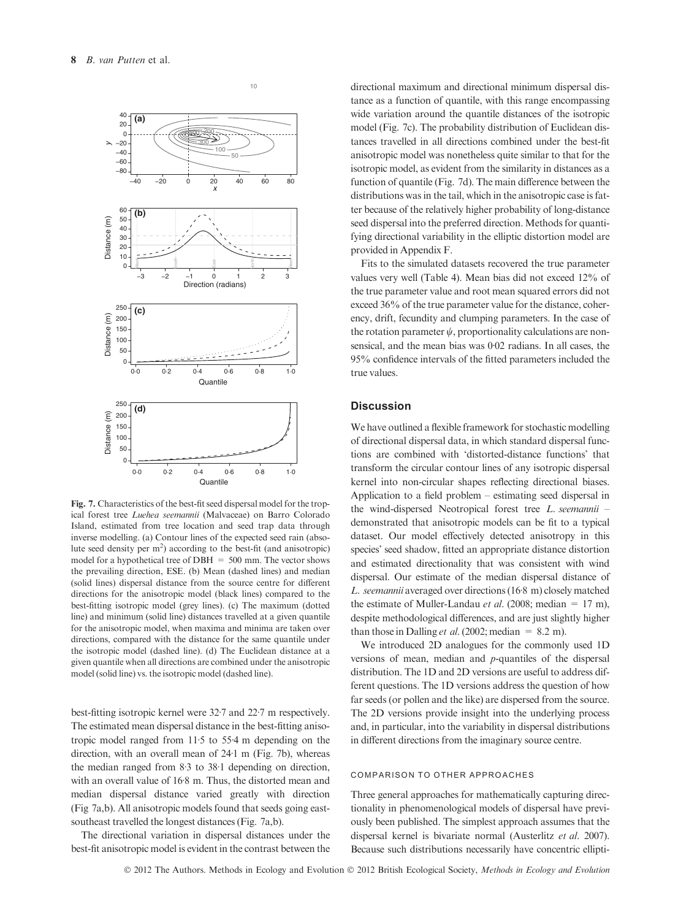

Fig. 7. Characteristics of the best-fit seed dispersal model for the tropical forest tree Luehea seemannii (Malvaceae) on Barro Colorado Island, estimated from tree location and seed trap data through inverse modelling. (a) Contour lines of the expected seed rain (absolute seed density per  $m<sup>2</sup>$ ) according to the best-fit (and anisotropic) model for a hypothetical tree of  $DBH = 500$  mm. The vector shows the prevailing direction, ESE. (b) Mean (dashed lines) and median (solid lines) dispersal distance from the source centre for different directions for the anisotropic model (black lines) compared to the best-fitting isotropic model (grey lines). (c) The maximum (dotted line) and minimum (solid line) distances travelled at a given quantile for the anisotropic model, when maxima and minima are taken over directions, compared with the distance for the same quantile under the isotropic model (dashed line). (d) The Euclidean distance at a given quantile when all directions are combined under the anisotropic model (solid line) vs. the isotropic model (dashed line).

best-fitting isotropic kernel were 32.7 and 22.7 m respectively. The estimated mean dispersal distance in the best-fitting anisotropic model ranged from  $11·5$  to  $55·4$  m depending on the direction, with an overall mean of  $24·1$  m (Fig. 7b), whereas the median ranged from  $8.3$  to  $38.1$  depending on direction, with an overall value of 168 m. Thus, the distorted mean and median dispersal distance varied greatly with direction (Fig 7a,b). All anisotropic models found that seeds going eastsoutheast travelled the longest distances (Fig. 7a,b).

The directional variation in dispersal distances under the best-fit anisotropic model is evident in the contrast between the

directional maximum and directional minimum dispersal distance as a function of quantile, with this range encompassing wide variation around the quantile distances of the isotropic model (Fig. 7c). The probability distribution of Euclidean distances travelled in all directions combined under the best-fit anisotropic model was nonetheless quite similar to that for the isotropic model, as evident from the similarity in distances as a function of quantile (Fig. 7d). The main difference between the distributions was in the tail, which in the anisotropic case is fatter because of the relatively higher probability of long-distance seed dispersal into the preferred direction. Methods for quantifying directional variability in the elliptic distortion model are provided in Appendix F.

Fits to the simulated datasets recovered the true parameter values very well (Table 4). Mean bias did not exceed 12% of the true parameter value and root mean squared errors did not exceed 36% of the true parameter value for the distance, coherency, drift, fecundity and clumping parameters. In the case of the rotation parameter  $\psi$ , proportionality calculations are nonsensical, and the mean bias was  $0.02$  radians. In all cases, the 95% confidence intervals of the fitted parameters included the true values.

# **Discussion**

We have outlined a flexible framework for stochastic modelling of directional dispersal data, in which standard dispersal functions are combined with 'distorted-distance functions' that transform the circular contour lines of any isotropic dispersal kernel into non-circular shapes reflecting directional biases. Application to a field problem – estimating seed dispersal in the wind-dispersed Neotropical forest tree L. seemannii – demonstrated that anisotropic models can be fit to a typical dataset. Our model effectively detected anisotropy in this species' seed shadow, fitted an appropriate distance distortion and estimated directionality that was consistent with wind dispersal. Our estimate of the median dispersal distance of L. seemannii averaged over directions (16.8 m) closely matched the estimate of Muller-Landau *et al.* (2008; median = 17 m), despite methodological differences, and are just slightly higher than those in Dalling *et al.* (2002; median = 8.2 m).

We introduced 2D analogues for the commonly used 1D versions of mean, median and p-quantiles of the dispersal distribution. The 1D and 2D versions are useful to address different questions. The 1D versions address the question of how far seeds (or pollen and the like) are dispersed from the source. The 2D versions provide insight into the underlying process and, in particular, into the variability in dispersal distributions in different directions from the imaginary source centre.

# COMPARISON TO OTHER APPROACHES

Three general approaches for mathematically capturing directionality in phenomenological models of dispersal have previously been published. The simplest approach assumes that the dispersal kernel is bivariate normal (Austerlitz et al. 2007). Because such distributions necessarily have concentric ellipti-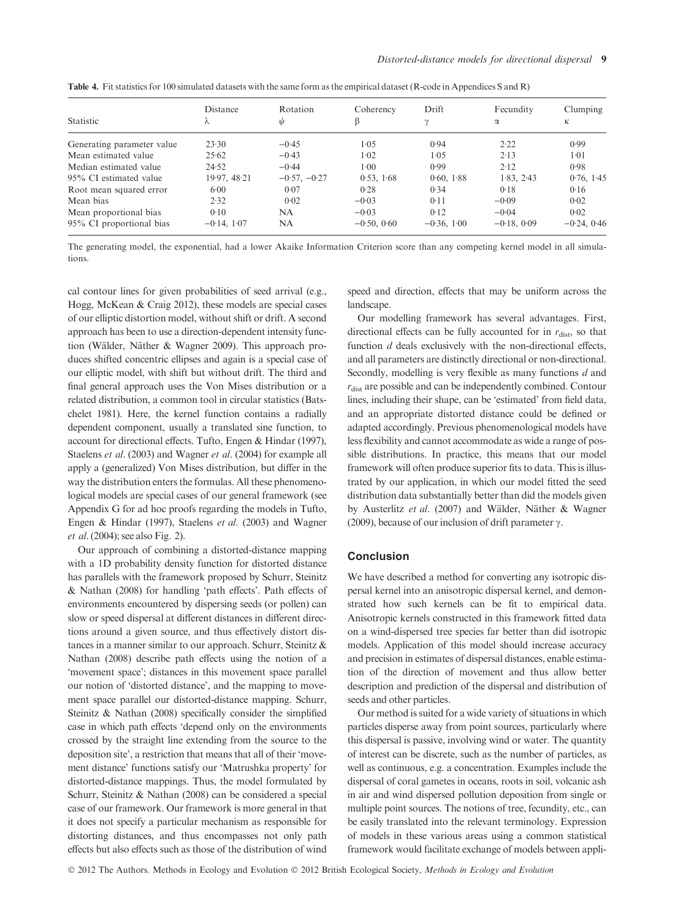|                            | Distance      | Rotation       | Coherency     | Drift         | Fecundity     | Clumping<br>ĸ |  |
|----------------------------|---------------|----------------|---------------|---------------|---------------|---------------|--|
| Statistic                  | λ             | ψ              | β             |               | α             |               |  |
| Generating parameter value | 23.30         | $-0.45$        | $1 - 0.5$     | 0.94          | 2.22          | 0.99          |  |
| Mean estimated value       | 25.62         | $-0.43$        | 1.02          | 1.05          | 2.13          | $1 - 01$      |  |
| Median estimated value     | 24.52         | $-0.44$        | $1 - 00$      | 0.99          | 2.12          | 0.98          |  |
| 95% CI estimated value     | 19.97, 48.21  | $-0.57, -0.27$ | 0.53, 1.68    | 0.60, 1.88    | 1.83, 2.43    | 0.76, 1.45    |  |
| Root mean squared error    | 6.00          | 0.07           | 0.28          | 0.34          | 0.18          | 0.16          |  |
| Mean bias                  | 2.32          | 0.02           | $-0.03$       | 0.11          | $-0.09$       | 0.02          |  |
| Mean proportional bias     | 0.10          | <b>NA</b>      | $-0.03$       | 0.12          | $-0.04$       | 0.02          |  |
| 95% CI proportional bias   | $-0.14, 1.07$ | NA             | $-0.50, 0.60$ | $-0.36, 1.00$ | $-0.18, 0.09$ | $-0.24, 0.46$ |  |

Table 4. Fit statistics for 100 simulated datasets with the same form as the empirical dataset (R-code in Appendices S and R)

The generating model, the exponential, had a lower Akaike Information Criterion score than any competing kernel model in all simulations.

cal contour lines for given probabilities of seed arrival (e.g., Hogg, McKean & Craig 2012), these models are special cases of our elliptic distortion model, without shift or drift. A second approach has been to use a direction-dependent intensity function (Wälder, Näther & Wagner 2009). This approach produces shifted concentric ellipses and again is a special case of our elliptic model, with shift but without drift. The third and final general approach uses the Von Mises distribution or a related distribution, a common tool in circular statistics (Batschelet 1981). Here, the kernel function contains a radially dependent component, usually a translated sine function, to account for directional effects. Tufto, Engen & Hindar (1997), Staelens et al. (2003) and Wagner et al. (2004) for example all apply a (generalized) Von Mises distribution, but differ in the way the distribution enters the formulas. All these phenomenological models are special cases of our general framework (see Appendix G for ad hoc proofs regarding the models in Tufto, Engen & Hindar (1997), Staelens et al. (2003) and Wagner et al. (2004); see also Fig. 2).

Our approach of combining a distorted-distance mapping with a 1D probability density function for distorted distance has parallels with the framework proposed by Schurr, Steinitz & Nathan (2008) for handling 'path effects'. Path effects of environments encountered by dispersing seeds (or pollen) can slow or speed dispersal at different distances in different directions around a given source, and thus effectively distort distances in a manner similar to our approach. Schurr, Steinitz & Nathan (2008) describe path effects using the notion of a 'movement space'; distances in this movement space parallel our notion of 'distorted distance', and the mapping to movement space parallel our distorted-distance mapping. Schurr, Steinitz & Nathan (2008) specifically consider the simplified case in which path effects 'depend only on the environments crossed by the straight line extending from the source to the deposition site', a restriction that means that all of their 'movement distance' functions satisfy our 'Matrushka property' for distorted-distance mappings. Thus, the model formulated by Schurr, Steinitz & Nathan (2008) can be considered a special case of our framework. Our framework is more general in that it does not specify a particular mechanism as responsible for distorting distances, and thus encompasses not only path effects but also effects such as those of the distribution of wind

speed and direction, effects that may be uniform across the landscape.

Our modelling framework has several advantages. First, directional effects can be fully accounted for in  $r_{\text{dist}}$ , so that function  $d$  deals exclusively with the non-directional effects, and all parameters are distinctly directional or non-directional. Secondly, modelling is very flexible as many functions d and  $r_{\text{dist}}$  are possible and can be independently combined. Contour lines, including their shape, can be 'estimated' from field data, and an appropriate distorted distance could be defined or adapted accordingly. Previous phenomenological models have less flexibility and cannot accommodate as wide a range of possible distributions. In practice, this means that our model framework will often produce superior fits to data. This is illustrated by our application, in which our model fitted the seed distribution data substantially better than did the models given by Austerlitz et al. (2007) and Wälder, Näther & Wagner (2009), because of our inclusion of drift parameter  $\gamma$ .

### Conclusion

We have described a method for converting any isotropic dispersal kernel into an anisotropic dispersal kernel, and demonstrated how such kernels can be fit to empirical data. Anisotropic kernels constructed in this framework fitted data on a wind-dispersed tree species far better than did isotropic models. Application of this model should increase accuracy and precision in estimates of dispersal distances, enable estimation of the direction of movement and thus allow better description and prediction of the dispersal and distribution of seeds and other particles.

Our method is suited for a wide variety of situations in which particles disperse away from point sources, particularly where this dispersal is passive, involving wind or water. The quantity of interest can be discrete, such as the number of particles, as well as continuous, e.g. a concentration. Examples include the dispersal of coral gametes in oceans, roots in soil, volcanic ash in air and wind dispersed pollution deposition from single or multiple point sources. The notions of tree, fecundity, etc., can be easily translated into the relevant terminology. Expression of models in these various areas using a common statistical framework would facilitate exchange of models between appli-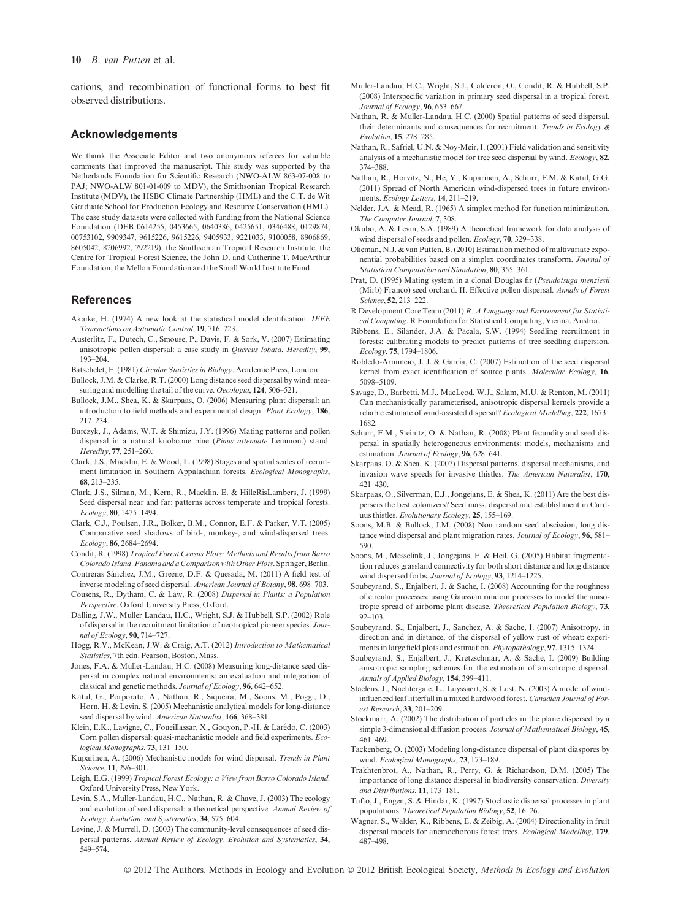#### 10 B. van Putten et al.

cations, and recombination of functional forms to best fit observed distributions.

#### Acknowledgements

We thank the Associate Editor and two anonymous referees for valuable comments that improved the manuscript. This study was supported by the Netherlands Foundation for Scientific Research (NWO-ALW 863-07-008 to PAJ; NWO-ALW 801-01-009 to MDV), the Smithsonian Tropical Research Institute (MDV), the HSBC Climate Partnership (HML) and the C.T. de Wit Graduate School for Production Ecology and Resource Conservation (HML). The case study datasets were collected with funding from the National Science Foundation (DEB 0614255, 0453665, 0640386, 0425651, 0346488, 0129874, 00753102, 9909347, 9615226, 9615226, 9405933, 9221033, 9100058, 8906869, 8605042, 8206992, 792219), the Smithsonian Tropical Research Institute, the Centre for Tropical Forest Science, the John D. and Catherine T. MacArthur Foundation, the Mellon Foundation and the Small World Institute Fund.

#### **References**

- Akaike, H. (1974) A new look at the statistical model identification. IEEE Transactions on Automatic Control, 19, 716–723.
- Austerlitz, F., Dutech, C., Smouse, P., Davis, F. & Sork, V. (2007) Estimating anisotropic pollen dispersal: a case study in Quercus lobata. Heredity, 99, 193–204.
- Batschelet, E. (1981) Circular Statistics in Biology. Academic Press, London.
- Bullock, J.M. & Clarke, R.T. (2000) Long distance seed dispersal by wind: measuring and modelling the tail of the curve.  $Oecoloqia$  124, 506–521.
- Bullock, J.M., Shea, K. & Skarpaas, O. (2006) Measuring plant dispersal: an introduction to field methods and experimental design. Plant Ecology, 186, 217–234.
- Burczyk, J., Adams, W.T. & Shimizu, J.Y. (1996) Mating patterns and pollen dispersal in a natural knobcone pine (Pinus attenuate Lemmon.) stand. Heredity, 77, 251–260.
- Clark, J.S., Macklin, E. & Wood, L. (1998) Stages and spatial scales of recruitment limitation in Southern Appalachian forests. Ecological Monographs, 68, 213–235.
- Clark, J.S., Silman, M., Kern, R., Macklin, E. & HilleRisLambers, J. (1999) Seed dispersal near and far: patterns across temperate and tropical forests. Ecology, 80, 1475–1494.
- Clark, C.J., Poulsen, J.R., Bolker, B.M., Connor, E.F. & Parker, V.T. (2005) Comparative seed shadows of bird-, monkey-, and wind-dispersed trees. Ecology, 86, 2684–2694.
- Condit, R. (1998) Tropical Forest Census Plots: Methods and Results from Barro Colorado Island, Panama and a Comparison with Other Plots. Springer, Berlin.
- Contreras Sánchez, J.M., Greene, D.F. & Ouesada, M. (2011) A field test of inverse modeling of seed dispersal. American Journal of Botany, 98, 698–703.
- Cousens, R., Dytham, C. & Law, R. (2008) Dispersal in Plants: a Population Perspective. Oxford University Press, Oxford.
- Dalling, J.W., Muller Landau, H.C., Wright, S.J. & Hubbell, S.P. (2002) Role of dispersal in the recruitment limitation of neotropical pioneer species. Journal of Ecology, 90, 714–727.
- Hogg, R.V., McKean, J.W. & Craig, A.T. (2012) Introduction to Mathematical Statistics, 7th edn. Pearson, Boston, Mass.
- Jones, F.A. & Muller-Landau, H.C. (2008) Measuring long-distance seed dispersal in complex natural environments: an evaluation and integration of classical and genetic methods. Journal of Ecology, 96, 642–652.
- Katul, G., Porporato, A., Nathan, R., Siqueira, M., Soons, M., Poggi, D., Horn, H. & Levin, S. (2005) Mechanistic analytical models for long-distance seed dispersal by wind. American Naturalist, 166, 368-381.
- Klein, E.K., Lavigne, C., Foueillassar, X., Gouyon, P.-H. & Larédo, C. (2003) Corn pollen dispersal: quasi-mechanistic models and field experiments. Ecological Monographs, 73, 131–150.
- Kuparinen, A. (2006) Mechanistic models for wind dispersal. Trends in Plant Science, 11, 296–301.
- Leigh, E.G. (1999) Tropical Forest Ecology: a View from Barro Colorado Island. Oxford University Press, New York.
- Levin, S.A., Muller-Landau, H.C., Nathan, R. & Chave, J. (2003) The ecology and evolution of seed dispersal: a theoretical perspective. Annual Review of Ecology, Evolution, and Systematics, 34, 575–604.
- Levine, J. & Murrell, D. (2003) The community-level consequences of seed dispersal patterns. Annual Review of Ecology, Evolution and Systematics, 34, 549–574.
- Muller-Landau, H.C., Wright, S.J., Calderon, O., Condit, R. & Hubbell, S.P. (2008) Interspecific variation in primary seed dispersal in a tropical forest. Journal of Ecology, 96, 653–667.
- Nathan, R. & Muller-Landau, H.C. (2000) Spatial patterns of seed dispersal, their determinants and consequences for recruitment. Trends in Ecology & Evolution, 15, 278–285.
- Nathan, R., Safriel, U.N. & Noy-Meir, I. (2001) Field validation and sensitivity analysis of a mechanistic model for tree seed dispersal by wind. Ecology, 82, 374–388.
- Nathan, R., Horvitz, N., He, Y., Kuparinen, A., Schurr, F.M. & Katul, G.G. (2011) Spread of North American wind-dispersed trees in future environments. Ecology Letters, 14, 211–219.
- Nelder, J.A. & Mead, R. (1965) A simplex method for function minimization. The Computer Journal, 7, 308.
- Okubo, A. & Levin, S.A. (1989) A theoretical framework for data analysis of wind dispersal of seeds and pollen. Ecology, 70, 329–338.
- Olieman, N.J. & van Putten, B. (2010) Estimation method of multivariate exponential probabilities based on a simplex coordinates transform. Journal of Statistical Computation and Simulation, 80, 355–361.
- Prat, D. (1995) Mating system in a clonal Douglas fir (Pseudotsuga menziesii (Mirb) Franco) seed orchard. II. Effective pollen dispersal. Annals of Forest Science, 52, 213–222.
- R Development Core Team (2011) R: A Language and Environment for Statistical Computing. R Foundation for Statistical Computing, Vienna, Austria.
- Ribbens, E., Silander, J.A. & Pacala, S.W. (1994) Seedling recruitment in forests: calibrating models to predict patterns of tree seedling dispersion. Ecology, 75, 1794–1806.
- Robledo-Arnuncio, J. J. & García, C. (2007) Estimation of the seed dispersal kernel from exact identification of source plants. Molecular Ecology, 16, 5098–5109.
- Savage, D., Barbetti, M.J., MacLeod, W.J., Salam, M.U. & Renton, M. (2011) Can mechanistically parameterised, anisotropic dispersal kernels provide a reliable estimate of wind-assisted dispersal? Ecological Modelling, 222, 1673– 1682.
- Schurr, F.M., Steinitz, O. & Nathan, R. (2008) Plant fecundity and seed dispersal in spatially heterogeneous environments: models, mechanisms and estimation. Journal of Ecology, 96, 628–641.
- Skarpaas, O. & Shea, K. (2007) Dispersal patterns, dispersal mechanisms, and invasion wave speeds for invasive thistles. The American Naturalist, 170, 421–430.
- Skarpaas, O., Silverman, E.J., Jongejans, E. & Shea, K. (2011) Are the best dispersers the best colonizers? Seed mass, dispersal and establishment in Carduus thistles. Evolutionary Ecology, 25, 155–169.
- Soons, M.B. & Bullock, J.M. (2008) Non random seed abscission, long distance wind dispersal and plant migration rates. Journal of Ecology, 96, 581-590.
- Soons, M., Messelink, J., Jongejans, E. & Heil, G. (2005) Habitat fragmentation reduces grassland connectivity for both short distance and long distance wind dispersed forbs. Journal of Ecology, 93, 1214-1225.
- Soubeyrand, S., Enjalbert, J. & Sache, I. (2008) Accounting for the roughness of circular processes: using Gaussian random processes to model the anisotropic spread of airborne plant disease. Theoretical Population Biology, 73, 92–103.
- Soubeyrand, S., Enjalbert, J., Sanchez, A. & Sache, I. (2007) Anisotropy, in direction and in distance, of the dispersal of yellow rust of wheat: experiments in large field plots and estimation. Phytopathology, 97, 1315–1324.
- Soubeyrand, S., Enjalbert, J., Kretzschmar, A. & Sache, I. (2009) Building anisotropic sampling schemes for the estimation of anisotropic dispersal. Annals of Applied Biology, 154, 399–411.
- Staelens, J., Nachtergale, L., Luyssaert, S. & Lust, N. (2003) A model of windinfluenced leaf litterfall in a mixed hardwood forest. Canadian Journal of Forest Research, 33, 201–209.
- Stockmarr, A. (2002) The distribution of particles in the plane dispersed by a simple 3-dimensional diffusion process. Journal of Mathematical Biology, 45, 461–469.
- Tackenberg, O. (2003) Modeling long-distance dispersal of plant diaspores by wind. Ecological Monographs, 73, 173–189.
- Trakhtenbrot, A., Nathan, R., Perry, G. & Richardson, D.M. (2005) The importance of long distance dispersal in biodiversity conservation. Diversity and Distributions, 11, 173–181.
- Tufto, J., Engen, S. & Hindar, K. (1997) Stochastic dispersal processes in plant populations. Theoretical Population Biology, 52, 16–26.
- Wagner, S., Walder, K., Ribbens, E. & Zeibig, A. (2004) Directionality in fruit dispersal models for anemochorous forest trees. Ecological Modelling, 179, 487–498.